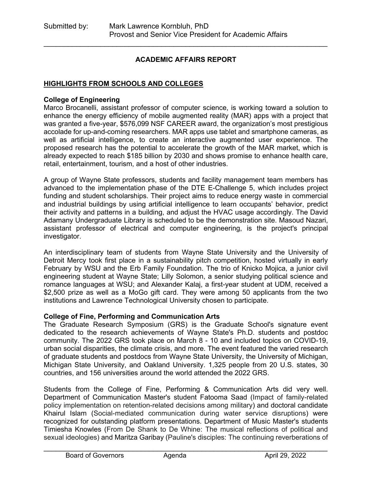### **ACADEMIC AFFAIRS REPORT**

\_\_\_\_\_\_\_\_\_\_\_\_\_\_\_\_\_\_\_\_\_\_\_\_\_\_\_\_\_\_\_\_\_\_\_\_\_\_\_\_\_\_\_\_\_\_\_\_\_\_\_\_\_\_\_\_\_\_\_\_\_\_\_\_\_\_\_\_\_\_

#### **HIGHLIGHTS FROM SCHOOLS AND COLLEGES**

#### **College of Engineering**

Marco Brocanelli, assistant professor of computer science, is working toward a solution to enhance the energy efficiency of mobile augmented reality (MAR) apps with a project that was granted a five-year, \$576,099 NSF CAREER award, the organization's most prestigious accolade for up-and-coming researchers. MAR apps use tablet and smartphone cameras, as well as artificial intelligence, to create an interactive augmented user experience. The proposed research has the potential to accelerate the growth of the MAR market, which is already expected to reach \$185 billion by 2030 and shows promise to enhance health care, retail, entertainment, tourism, and a host of other industries.

A group of Wayne State professors, students and facility management team members has advanced to the implementation phase of the DTE E-Challenge 5, which includes project funding and student scholarships. Their project aims to reduce energy waste in commercial and industrial buildings by using artificial intelligence to learn occupants' behavior, predict their activity and patterns in a building, and adjust the HVAC usage accordingly. The David Adamany Undergraduate Library is scheduled to be the demonstration site. Masoud Nazari, assistant professor of electrical and computer engineering, is the project's principal investigator.

An interdisciplinary team of students from Wayne State University and the University of Detroit Mercy took first place in a sustainability pitch competition, hosted virtually in early February by WSU and the Erb Family Foundation. The trio of Knicko Mojica, a junior civil engineering student at Wayne State; Lilly Solomon, a senior studying political science and romance languages at WSU; and Alexander Kalaj, a first-year student at UDM, received a \$2,500 prize as well as a MoGo gift card. They were among 50 applicants from the two institutions and Lawrence Technological University chosen to participate.

#### **College of Fine, Performing and Communication Arts**

The Graduate Research Symposium (GRS) is the Graduate School's signature event dedicated to the research achievements of Wayne State's Ph.D. students and postdoc community. The 2022 GRS took place on March 8 - 10 and included topics on COVID-19, urban social disparities, the climate crisis, and more. The event featured the varied research of graduate students and postdocs from Wayne State University, the University of Michigan, Michigan State University, and Oakland University. 1,325 people from 20 U.S. states, 30 countries, and 156 universities around the world attended the 2022 GRS.

Students from the College of Fine, Performing & Communication Arts did very well. Department of Communication Master's student Fatooma Saad (Impact of family-related policy implementation on retention-related decisions among military) and doctoral candidate Khairul Islam (Social-mediated communication during water service disruptions) were recognized for outstanding platform presentations. Department of Music Master's students Timiesha Knowles (From De Shank to De Whine: The musical reflections of political and sexual ideologies) and Maritza Garibay (Pauline's disciples: The continuing reverberations of

\_\_\_\_\_\_\_\_\_\_\_\_\_\_\_\_\_\_\_\_\_\_\_\_\_\_\_\_\_\_\_\_\_\_\_\_\_\_\_\_\_\_\_\_\_\_\_\_\_\_\_\_\_\_\_\_\_\_\_\_\_\_\_\_\_\_\_\_\_\_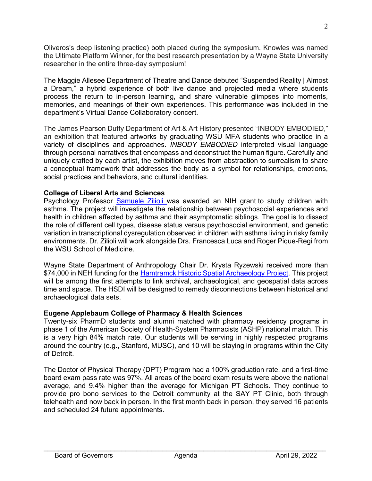Oliveros's deep listening practice) both placed during the symposium. Knowles was named the Ultimate Platform Winner, for the best research presentation by a Wayne State University researcher in the entire three-day symposium!

The Maggie Allesee Department of Theatre and Dance debuted "Suspended Reality | Almost a Dream," a hybrid experience of both live dance and projected media where students process the return to in-person learning, and share vulnerable glimpses into moments, memories, and meanings of their own experiences. This performance was included in the department's Virtual Dance Collaboratory concert.

The James Pearson Duffy Department of Art & Art History presented "INBODY EMBODIED," an exhibition that featured artworks by graduating WSU MFA students who practice in a variety of disciplines and approaches. *INBODY EMBODIED* interpreted visual language through personal narratives that encompass and deconstruct the human figure. Carefully and uniquely crafted by each artist, the exhibition moves from abstraction to surrealism to share a conceptual framework that addresses the body as a symbol for relationships, emotions, social practices and behaviors, and cultural identities.

#### **College of Liberal Arts and Sciences**

Psychology Professor [Samuele Zilioli w](https://clasprofiles.wayne.edu/profile/fv0808)as awarded an NIH grant to study children with asthma. The project will investigate the relationship between psychosocial experiences and health in children affected by asthma and their asymptomatic siblings. The goal is to dissect the role of different cell types, disease status versus psychosocial environment, and genetic variation in transcriptional dysregulation observed in children with asthma living in risky family environments. Dr. Zilioli will work alongside Drs. Francesca Luca and Roger Pique-Regi from the WSU School of Medicine.

Wayne State Department of Anthropology Chair Dr. Krysta Ryzewski received more than \$74,000 in NEH funding for the **Hamtramck Historic Spatial Archaeology Project**. This project will be among the first attempts to link archival, archaeological, and geospatial data across time and space. The HSDI will be designed to remedy disconnections between historical and archaeological data sets.

### **Eugene Applebaum College of Pharmacy & Health Sciences**

Twenty-six PharmD students and alumni matched with pharmacy residency programs in phase 1 of the American Society of Health-System Pharmacists (ASHP) national match. This is a very high 84% match rate. Our students will be serving in highly respected programs around the country (e.g., Stanford, MUSC), and 10 will be staying in programs within the City of Detroit.

The Doctor of Physical Therapy (DPT) Program had a 100% graduation rate, and a first-time board exam pass rate was 97%. All areas of the board exam results were above the national average, and 9.4% higher than the average for Michigan PT Schools. They continue to provide pro bono services to the Detroit community at the SAY PT Clinic, both through telehealth and now back in person. In the first month back in person, they served 16 patients and scheduled 24 future appointments.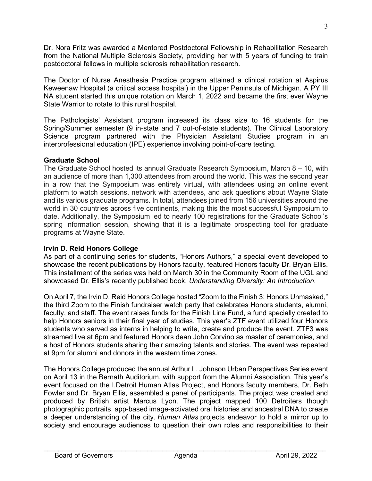Dr. Nora Fritz was awarded a Mentored Postdoctoral Fellowship in Rehabilitation Research from the National Multiple Sclerosis Society, providing her with 5 years of funding to train postdoctoral fellows in multiple sclerosis rehabilitation research.

The Doctor of Nurse Anesthesia Practice program attained a clinical rotation at Aspirus Keweenaw Hospital (a critical access hospital) in the Upper Peninsula of Michigan. A PY III NA student started this unique rotation on March 1, 2022 and became the first ever Wayne State Warrior to rotate to this rural hospital.

The Pathologists' Assistant program increased its class size to 16 students for the Spring/Summer semester (9 in-state and 7 out-of-state students). The Clinical Laboratory Science program partnered with the Physician Assistant Studies program in an interprofessional education (IPE) experience involving point-of-care testing.

### **Graduate School**

The Graduate School hosted its annual Graduate Research Symposium, March 8 – 10, with an audience of more than 1,300 attendees from around the world. This was the second year in a row that the Symposium was entirely virtual, with attendees using an online event platform to watch sessions, network with attendees, and ask questions about Wayne State and its various graduate programs. In total, attendees joined from 156 universities around the world in 30 countries across five continents, making this the most successful Symposium to date. Additionally, the Symposium led to nearly 100 registrations for the Graduate School's spring information session, showing that it is a legitimate prospecting tool for graduate programs at Wayne State.

# **Irvin D. Reid Honors College**

As part of a continuing series for students, "Honors Authors," a special event developed to showcase the recent publications by Honors faculty, featured Honors faculty Dr. Bryan Ellis. This installment of the series was held on March 30 in the Community Room of the UGL and showcased Dr. Ellis's recently published book, *Understanding Diversity: An Introduction*.

On April 7, the Irvin D. Reid Honors College hosted "Zoom to the Finish 3: Honors Unmasked," the third Zoom to the Finish fundraiser watch party that celebrates Honors students, alumni, faculty, and staff. The event raises funds for the Finish Line Fund, a fund specially created to help Honors seniors in their final year of studies. This year's ZTF event utilized four Honors students who served as interns in helping to write, create and produce the event. ZTF3 was streamed live at 6pm and featured Honors dean John Corvino as master of ceremonies, and a host of Honors students sharing their amazing talents and stories. The event was repeated at 9pm for alumni and donors in the western time zones.

The Honors College produced the annual Arthur L. Johnson Urban Perspectives Series event on April 13 in the Bernath Auditorium, with support from the Alumni Association. This year's event focused on the I.Detroit Human Atlas Project, and Honors faculty members, Dr. Beth Fowler and Dr. Bryan Ellis, assembled a panel of participants. The project was created and produced by British artist Marcus Lyon. The project mapped 100 Detroiters though photographic portraits, app-based image-activated oral histories and ancestral DNA to create a deeper understanding of the city. *Human Atlas* projects endeavor to hold a mirror up to society and encourage audiences to question their own roles and responsibilities to their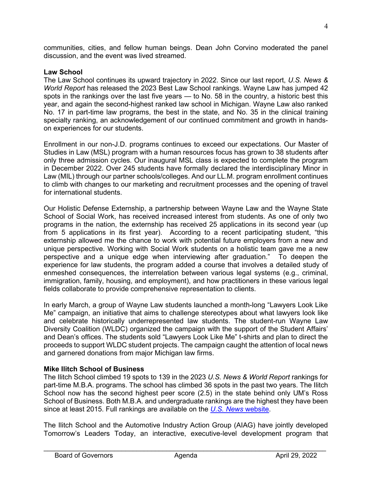communities, cities, and fellow human beings. Dean John Corvino moderated the panel discussion, and the event was lived streamed.

### **Law School**

The Law School continues its upward trajectory in 2022. Since our last report, *U.S. News & World Report* has released the 2023 Best Law School rankings. Wayne Law has jumped 42 spots in the rankings over the last five years — to No. 58 in the country, a historic best this year, and again the second-highest ranked law school in Michigan. Wayne Law also ranked No. 17 in part-time law programs, the best in the state, and No. 35 in the clinical training specialty ranking, an acknowledgement of our continued commitment and growth in handson experiences for our students.

Enrollment in our non-J.D. programs continues to exceed our expectations. Our Master of Studies in Law (MSL) program with a human resources focus has grown to 38 students after only three admission cycles. Our inaugural MSL class is expected to complete the program in December 2022. Over 245 students have formally declared the interdisciplinary Minor in Law (MIL) through our partner schools/colleges. And our LL.M. program enrollment continues to climb with changes to our marketing and recruitment processes and the opening of travel for international students.

Our Holistic Defense Externship, a partnership between Wayne Law and the Wayne State School of Social Work, has received increased interest from students. As one of only two programs in the nation, the externship has received 25 applications in its second year (up from 5 applications in its first year). According to a recent participating student, "this externship allowed me the chance to work with potential future employers from a new and unique perspective. Working with Social Work students on a holistic team gave me a new perspective and a unique edge when interviewing after graduation." To deepen the experience for law students, the program added a course that involves a detailed study of enmeshed consequences, the interrelation between various legal systems (e.g., criminal, immigration, family, housing, and employment), and how practitioners in these various legal fields collaborate to provide comprehensive representation to clients.

In early March, a group of Wayne Law students launched a month-long "Lawyers Look Like Me" campaign, an initiative that aims to challenge stereotypes about what lawyers look like and celebrate historically underrepresented law students. The student-run Wayne Law Diversity Coalition (WLDC) organized the campaign with the support of the Student Affairs' and Dean's offices. The students sold "Lawyers Look Like Me" t-shirts and plan to direct the proceeds to support WLDC student projects. The campaign caught the attention of local news and garnered donations from major Michigan law firms.

### **Mike Ilitch School of Business**

The Ilitch School climbed 19 spots to 139 in the 2023 *U.S. News & World Report* rankings for part-time M.B.A. programs. The school has climbed 36 spots in the past two years. The Ilitch School now has the second highest peer score (2.5) in the state behind only UM's Ross School of Business. Both M.B.A. and undergraduate rankings are the highest they have been since at least 2015. Full rankings are available on the *[U.S. News](https://www.usnews.com/best-graduate-schools/top-business-schools/part-time-rankings)* website.

The Ilitch School and the Automotive Industry Action Group (AIAG) have jointly developed Tomorrow's Leaders Today, an interactive, executive-level development program that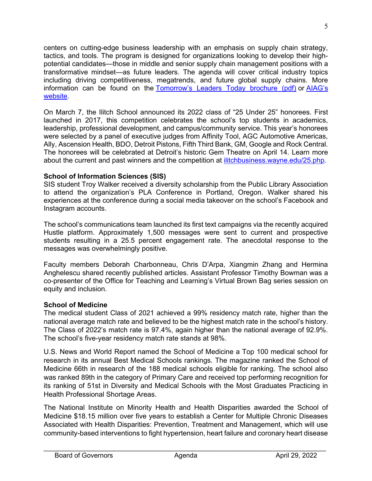centers on cutting-edge business leadership with an emphasis on supply chain strategy, tactics, and tools. The program is designed for organizations looking to develop their highpotential candidates—those in middle and senior supply chain management positions with a transformative mindset—as future leaders. The agenda will cover critical industry topics including driving competitiveness, megatrends, and future global supply chains. More information can be found on the [Tomorrow's Leaders Today brochure \(pdf\)](https://ilitchbusiness.wayne.edu/supply-chain/tomorrow_s_leaders_today_brochure_021022.pdf) or [AIAG's](https://www.aiag.org/store/training/details?CourseCode=TLT)  [website.](https://www.aiag.org/store/training/details?CourseCode=TLT)

On March 7, the Ilitch School announced its 2022 class of "25 Under 25" honorees. First launched in 2017, this competition celebrates the school's top students in academics, leadership, professional development, and campus/community service. This year's honorees were selected by a panel of executive judges from Affinity Tool, AGC Automotive Americas, Ally, Ascension Health, BDO, Detroit Pistons, Fifth Third Bank, GM, Google and Rock Central. The honorees will be celebrated at Detroit's historic Gem Theatre on April 14. Learn more about the current and past winners and the competition at [ilitchbusiness.wayne.edu/25.php.](https://ilitchbusiness.wayne.edu/25.php)

### **School of Information Sciences (SIS)**

SIS student Troy Walker received a diversity scholarship from the Public Library Association to attend the organization's PLA Conference in Portland, Oregon. Walker shared his experiences at the conference during a social media takeover on the school's Facebook and Instagram accounts.

The school's communications team launched its first text campaigns via the recently acquired Hustle platform. Approximately 1,500 messages were sent to current and prospective students resulting in a 25.5 percent engagement rate. The anecdotal response to the messages was overwhelmingly positive.

Faculty members Deborah Charbonneau, Chris D'Arpa, Xiangmin Zhang and Hermina Anghelescu shared recently published articles. Assistant Professor Timothy Bowman was a co-presenter of the Office for Teaching and Learning's Virtual Brown Bag series session on equity and inclusion.

# **School of Medicine**

The medical student Class of 2021 achieved a 99% residency match rate, higher than the national average match rate and believed to be the highest match rate in the school's history. The Class of 2022's match rate is 97.4%, again higher than the national average of 92.9%. The school's five-year residency match rate stands at 98%.

U.S. News and World Report named the School of Medicine a Top 100 medical school for research in its annual Best Medical Schools rankings. The magazine ranked the School of Medicine 66th in research of the 188 medical schools eligible for ranking. The school also was ranked 89th in the category of Primary Care and received top performing recognition for its ranking of 51st in Diversity and Medical Schools with the Most Graduates Practicing in Health Professional Shortage Areas.

The National Institute on Minority Health and Health Disparities awarded the School of Medicine \$18.15 million over five years to establish a Center for Multiple Chronic Diseases Associated with Health Disparities: Prevention, Treatment and Management, which will use community-based interventions to fight hypertension, heart failure and coronary heart disease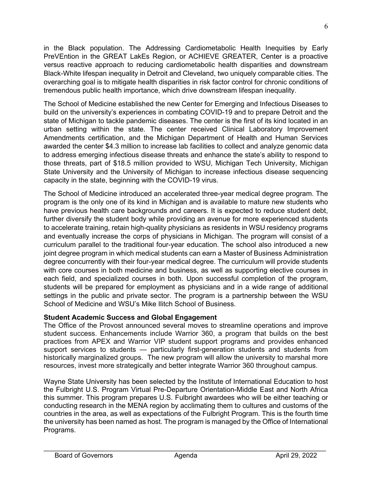in the Black population. The Addressing Cardiometabolic Health Inequities by Early PreVEntion in the GREAT LakEs Region, or ACHIEVE GREATER, Center is a proactive versus reactive approach to reducing cardiometabolic health disparities and downstream Black-White lifespan inequality in Detroit and Cleveland, two uniquely comparable cities. The overarching goal is to mitigate health disparities in risk factor control for chronic conditions of tremendous public health importance, which drive downstream lifespan inequality.

The School of Medicine established the new Center for Emerging and Infectious Diseases to build on the university's experiences in combating COVID-19 and to prepare Detroit and the state of Michigan to tackle pandemic diseases. The center is the first of its kind located in an urban setting within the state. The center received Clinical Laboratory Improvement Amendments certification, and the Michigan Department of Health and Human Services awarded the center \$4.3 million to increase lab facilities to collect and analyze genomic data to address emerging infectious disease threats and enhance the state's ability to respond to those threats, part of \$18.5 million provided to WSU, Michigan Tech University, Michigan State University and the University of Michigan to increase infectious disease sequencing capacity in the state, beginning with the COVID-19 virus.

The School of Medicine introduced an accelerated three-year medical degree program. The program is the only one of its kind in Michigan and is available to mature new students who have previous health care backgrounds and careers. It is expected to reduce student debt, further diversify the student body while providing an avenue for more experienced students to accelerate training, retain high-quality physicians as residents in WSU residency programs and eventually increase the corps of physicians in Michigan. The program will consist of a curriculum parallel to the traditional four-year education. The school also introduced a new joint degree program in which medical students can earn a Master of Business Administration degree concurrently with their four-year medical degree. The curriculum will provide students with core courses in both medicine and business, as well as supporting elective courses in each field, and specialized courses in both. Upon successful completion of the program, students will be prepared for employment as physicians and in a wide range of additional settings in the public and private sector. The program is a partnership between the WSU School of Medicine and WSU's Mike Ilitch School of Business.

# **Student Academic Success and Global Engagement**

The Office of the Provost announced several moves to streamline operations and improve student success. Enhancements include Warrior 360, a program that builds on the best practices from APEX and Warrior VIP student support programs and provides enhanced support services to students — particularly first-generation students and students from historically marginalized groups. The new program will allow the university to marshal more resources, invest more strategically and better integrate Warrior 360 throughout campus.

Wayne State University has been selected by the Institute of International Education to host the Fulbright U.S. Program Virtual Pre-Departure Orientation-Middle East and North Africa this summer. This program prepares U.S. Fulbright awardees who will be either teaching or conducting research in the MENA region by acclimating them to cultures and customs of the countries in the area, as well as expectations of the Fulbright Program. This is the fourth time the university has been named as host. The program is managed by the Office of International Programs.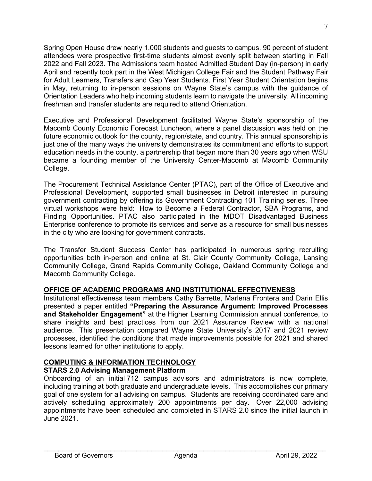Spring Open House drew nearly 1,000 students and guests to campus. 90 percent of student attendees were prospective first-time students almost evenly split between starting in Fall 2022 and Fall 2023. The Admissions team hosted Admitted Student Day (in-person) in early April and recently took part in the West Michigan College Fair and the Student Pathway Fair for Adult Learners, Transfers and Gap Year Students. First Year Student Orientation begins in May, returning to in-person sessions on Wayne State's campus with the guidance of Orientation Leaders who help incoming students learn to navigate the university. All incoming freshman and transfer students are required to attend Orientation.

Executive and Professional Development facilitated Wayne State's sponsorship of the Macomb County Economic Forecast Luncheon, where a panel discussion was held on the future economic outlook for the county, region/state, and country. This annual sponsorship is just one of the many ways the university demonstrates its commitment and efforts to support education needs in the county, a partnership that began more than 30 years ago when WSU became a founding member of the University Center-Macomb at Macomb Community College.

The Procurement Technical Assistance Center (PTAC), part of the Office of Executive and Professional Development, supported small businesses in Detroit interested in pursuing government contracting by offering its Government Contracting 101 Training series. Three virtual workshops were held: How to Become a Federal Contractor, SBA Programs, and Finding Opportunities. PTAC also participated in the MDOT Disadvantaged Business Enterprise conference to promote its services and serve as a resource for small businesses in the city who are looking for government contracts.

The Transfer Student Success Center has participated in numerous spring recruiting opportunities both in-person and online at St. Clair County Community College, Lansing Community College, Grand Rapids Community College, Oakland Community College and Macomb Community College.

# **OFFICE OF ACADEMIC PROGRAMS AND INSTITUTIONAL EFFECTIVENESS**

Institutional effectiveness team members Cathy Barrette, Marlena Frontera and Darin Ellis presented a paper entitled **"Preparing the Assurance Argument: Improved Processes and Stakeholder Engagement"** at the Higher Learning Commission annual conference, to share insights and best practices from our 2021 Assurance Review with a national audience. This presentation compared Wayne State University's 2017 and 2021 review processes, identified the conditions that made improvements possible for 2021 and shared lessons learned for other institutions to apply.

# **COMPUTING & INFORMATION TECHNOLOGY**

### **STARS 2.0 Advising Management Platform**

Onboarding of an initial 712 campus advisors and administrators is now complete, including training at both graduate and undergraduate levels. This accomplishes our primary goal of one system for all advising on campus. Students are receiving coordinated care and actively scheduling approximately 200 appointments per day. Over 22,000 advising appointments have been scheduled and completed in STARS 2.0 since the initial launch in June 2021.